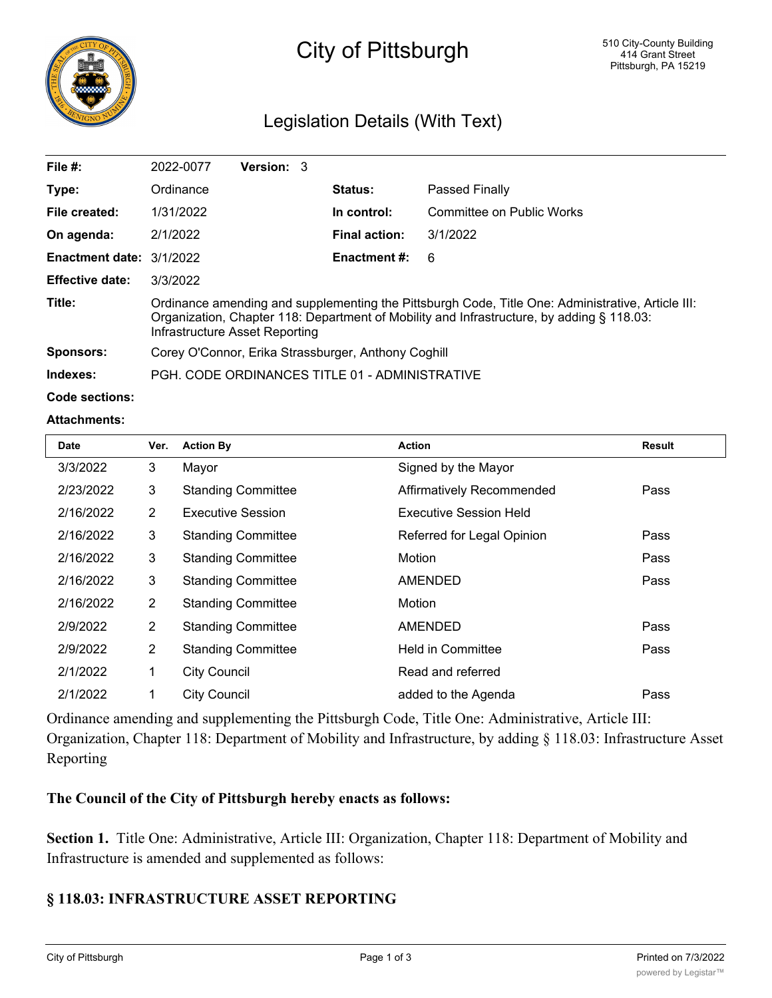

# City of Pittsburgh

# Legislation Details (With Text)

| File $#$ :               | 2022-0077                                                                                                                                                                                                                        | Version: 3 |                      |                           |  |
|--------------------------|----------------------------------------------------------------------------------------------------------------------------------------------------------------------------------------------------------------------------------|------------|----------------------|---------------------------|--|
| Type:                    | Ordinance                                                                                                                                                                                                                        |            | <b>Status:</b>       | Passed Finally            |  |
| File created:            | 1/31/2022                                                                                                                                                                                                                        |            | In control:          | Committee on Public Works |  |
| On agenda:               | 2/1/2022                                                                                                                                                                                                                         |            | <b>Final action:</b> | 3/1/2022                  |  |
| Enactment date: 3/1/2022 |                                                                                                                                                                                                                                  |            | <b>Enactment #:</b>  | 6                         |  |
| <b>Effective date:</b>   | 3/3/2022                                                                                                                                                                                                                         |            |                      |                           |  |
| Title:                   | Ordinance amending and supplementing the Pittsburgh Code, Title One: Administrative, Article III:<br>Organization, Chapter 118: Department of Mobility and Infrastructure, by adding § 118.03:<br>Infrastructure Asset Reporting |            |                      |                           |  |
| Sponsors:                | Corey O'Connor, Erika Strassburger, Anthony Coghill                                                                                                                                                                              |            |                      |                           |  |
| Indexes:                 | PGH, CODE ORDINANCES TITLE 01 - ADMINISTRATIVE                                                                                                                                                                                   |            |                      |                           |  |

**Code sections:**

#### **Attachments:**

| <b>Date</b> | Ver.           | <b>Action By</b>          | <b>Action</b>                 | <b>Result</b> |
|-------------|----------------|---------------------------|-------------------------------|---------------|
| 3/3/2022    | $\mathbf{3}$   | Mayor                     | Signed by the Mayor           |               |
| 2/23/2022   | 3              | <b>Standing Committee</b> | Affirmatively Recommended     | Pass          |
| 2/16/2022   | $\overline{2}$ | <b>Executive Session</b>  | <b>Executive Session Held</b> |               |
| 2/16/2022   | 3              | <b>Standing Committee</b> | Referred for Legal Opinion    | Pass          |
| 2/16/2022   | $\mathbf{3}$   | <b>Standing Committee</b> | Motion                        | Pass          |
| 2/16/2022   | 3              | <b>Standing Committee</b> | <b>AMENDED</b>                | Pass          |
| 2/16/2022   | $\overline{2}$ | <b>Standing Committee</b> | Motion                        |               |
| 2/9/2022    | $\overline{2}$ | <b>Standing Committee</b> | <b>AMENDED</b>                | Pass          |
| 2/9/2022    | $\overline{2}$ | <b>Standing Committee</b> | <b>Held in Committee</b>      | Pass          |
| 2/1/2022    | $\mathbf 1$    | <b>City Council</b>       | Read and referred             |               |
| 2/1/2022    | 1              | <b>City Council</b>       | added to the Agenda           | Pass          |

Ordinance amending and supplementing the Pittsburgh Code, Title One: Administrative, Article III: Organization, Chapter 118: Department of Mobility and Infrastructure, by adding § 118.03: Infrastructure Asset Reporting

## **The Council of the City of Pittsburgh hereby enacts as follows:**

**Section 1.** Title One: Administrative, Article III: Organization, Chapter 118: Department of Mobility and Infrastructure is amended and supplemented as follows:

### **§ 118.03: INFRASTRUCTURE ASSET REPORTING**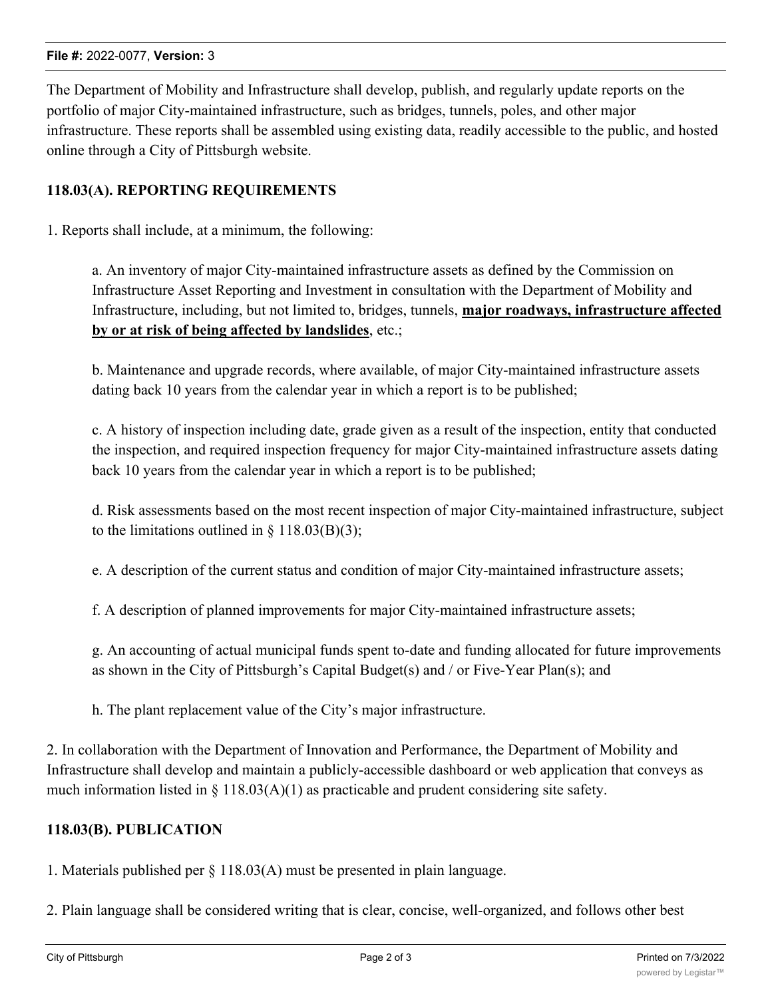#### **File #:** 2022-0077, **Version:** 3

The Department of Mobility and Infrastructure shall develop, publish, and regularly update reports on the portfolio of major City-maintained infrastructure, such as bridges, tunnels, poles, and other major infrastructure. These reports shall be assembled using existing data, readily accessible to the public, and hosted online through a City of Pittsburgh website.

#### **118.03(A). REPORTING REQUIREMENTS**

1. Reports shall include, at a minimum, the following:

a. An inventory of major City-maintained infrastructure assets as defined by the Commission on Infrastructure Asset Reporting and Investment in consultation with the Department of Mobility and Infrastructure, including, but not limited to, bridges, tunnels, **major roadways, infrastructure affected by or at risk of being affected by landslides**, etc.;

b. Maintenance and upgrade records, where available, of major City-maintained infrastructure assets dating back 10 years from the calendar year in which a report is to be published;

c. A history of inspection including date, grade given as a result of the inspection, entity that conducted the inspection, and required inspection frequency for major City-maintained infrastructure assets dating back 10 years from the calendar year in which a report is to be published;

d. Risk assessments based on the most recent inspection of major City-maintained infrastructure, subject to the limitations outlined in  $\S 118.03(B)(3);$ 

e. A description of the current status and condition of major City-maintained infrastructure assets;

f. A description of planned improvements for major City-maintained infrastructure assets;

g. An accounting of actual municipal funds spent to-date and funding allocated for future improvements as shown in the City of Pittsburgh's Capital Budget(s) and / or Five-Year Plan(s); and

h. The plant replacement value of the City's major infrastructure.

2. In collaboration with the Department of Innovation and Performance, the Department of Mobility and Infrastructure shall develop and maintain a publicly-accessible dashboard or web application that conveys as much information listed in  $\S 118.03(A)(1)$  as practicable and prudent considering site safety.

#### **118.03(B). PUBLICATION**

1. Materials published per § 118.03(A) must be presented in plain language.

2. Plain language shall be considered writing that is clear, concise, well-organized, and follows other best